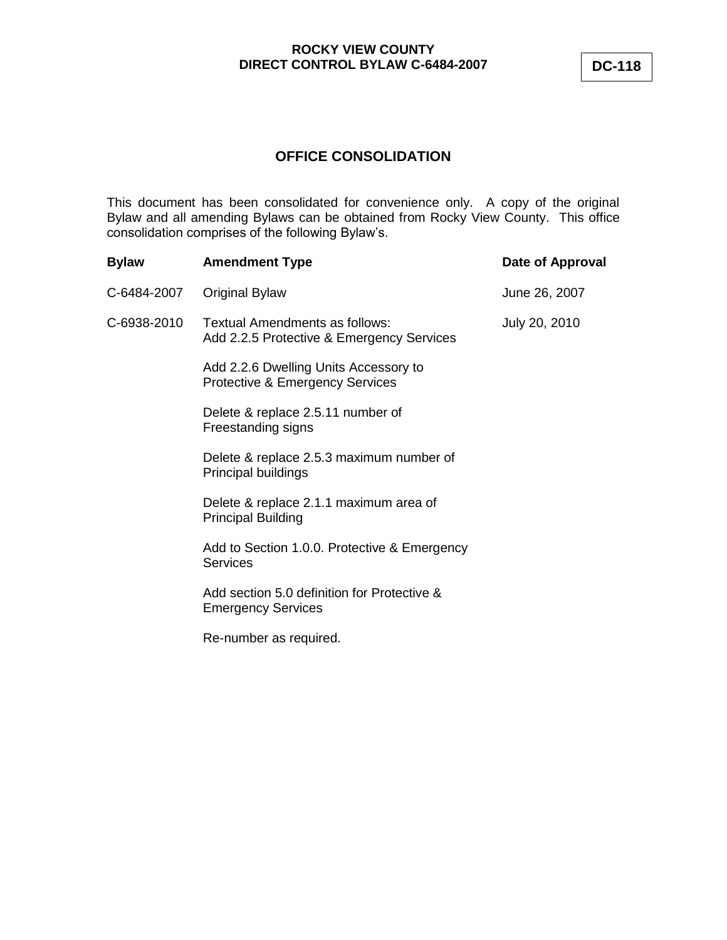# **OFFICE CONSOLIDATION**

This document has been consolidated for convenience only. A copy of the original Bylaw and all amending Bylaws can be obtained from Rocky View County. This office consolidation comprises of the following Bylaw's.

| <b>Bylaw</b> | <b>Amendment Type</b>                                                               | Date of Approval |
|--------------|-------------------------------------------------------------------------------------|------------------|
| C-6484-2007  | Original Bylaw                                                                      | June 26, 2007    |
| C-6938-2010  | Textual Amendments as follows:<br>Add 2.2.5 Protective & Emergency Services         | July 20, 2010    |
|              | Add 2.2.6 Dwelling Units Accessory to<br><b>Protective &amp; Emergency Services</b> |                  |
|              | Delete & replace 2.5.11 number of<br>Freestanding signs                             |                  |
|              | Delete & replace 2.5.3 maximum number of<br>Principal buildings                     |                  |
|              | Delete & replace 2.1.1 maximum area of<br><b>Principal Building</b>                 |                  |
|              | Add to Section 1.0.0. Protective & Emergency<br>Services                            |                  |
|              | Add section 5.0 definition for Protective &<br><b>Emergency Services</b>            |                  |
|              | Re-number as required.                                                              |                  |
|              |                                                                                     |                  |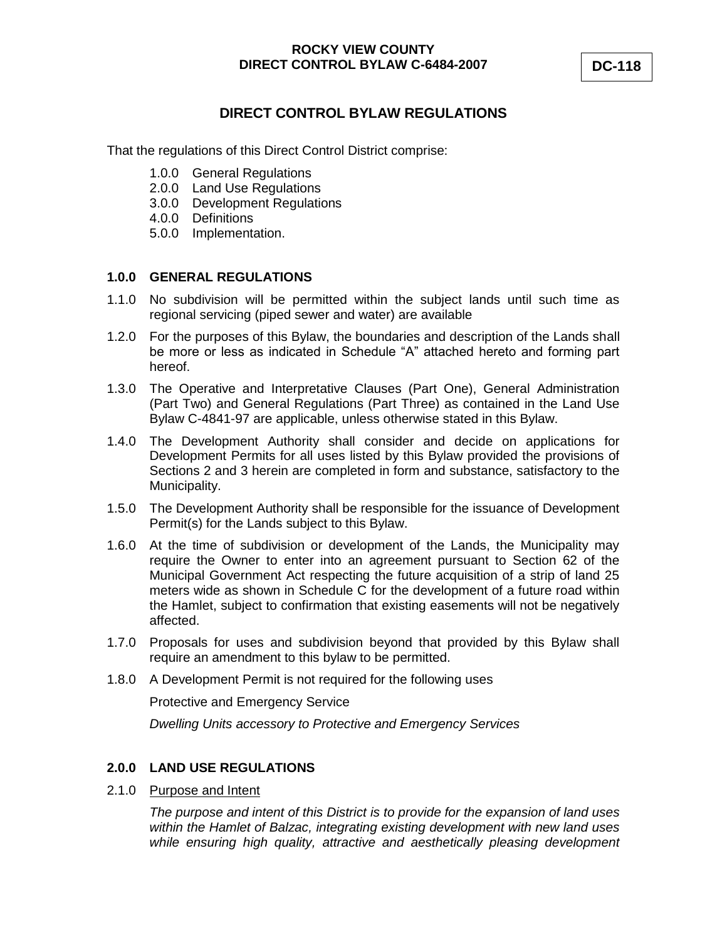# **DIRECT CONTROL BYLAW REGULATIONS**

That the regulations of this Direct Control District comprise:

- 1.0.0 General Regulations
- 2.0.0 Land Use Regulations
- 3.0.0 Development Regulations
- 4.0.0 Definitions
- 5.0.0 Implementation.

## **1.0.0 GENERAL REGULATIONS**

- 1.1.0 No subdivision will be permitted within the subject lands until such time as regional servicing (piped sewer and water) are available
- 1.2.0 For the purposes of this Bylaw, the boundaries and description of the Lands shall be more or less as indicated in Schedule "A" attached hereto and forming part hereof.
- 1.3.0 The Operative and Interpretative Clauses (Part One), General Administration (Part Two) and General Regulations (Part Three) as contained in the Land Use Bylaw C-4841-97 are applicable, unless otherwise stated in this Bylaw.
- 1.4.0 The Development Authority shall consider and decide on applications for Development Permits for all uses listed by this Bylaw provided the provisions of Sections 2 and 3 herein are completed in form and substance, satisfactory to the Municipality.
- 1.5.0 The Development Authority shall be responsible for the issuance of Development Permit(s) for the Lands subject to this Bylaw.
- 1.6.0 At the time of subdivision or development of the Lands, the Municipality may require the Owner to enter into an agreement pursuant to Section 62 of the Municipal Government Act respecting the future acquisition of a strip of land 25 meters wide as shown in Schedule C for the development of a future road within the Hamlet, subject to confirmation that existing easements will not be negatively affected.
- 1.7.0 Proposals for uses and subdivision beyond that provided by this Bylaw shall require an amendment to this bylaw to be permitted.
- 1.8.0 A Development Permit is not required for the following uses

Protective and Emergency Service

*Dwelling Units accessory to Protective and Emergency Services*

#### **2.0.0 LAND USE REGULATIONS**

2.1.0 Purpose and Intent

*The purpose and intent of this District is to provide for the expansion of land uses within the Hamlet of Balzac, integrating existing development with new land uses while ensuring high quality, attractive and aesthetically pleasing development*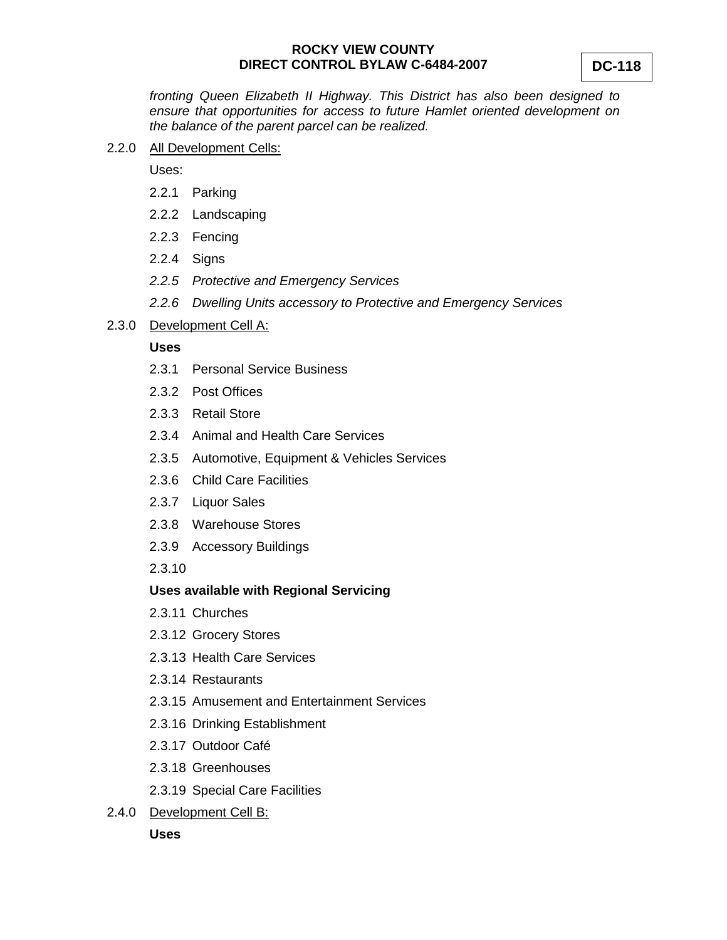*fronting Queen Elizabeth II Highway. This District has also been designed to ensure that opportunities for access to future Hamlet oriented development on the balance of the parent parcel can be realized.*

2.2.0 All Development Cells:

Uses:

- 2.2.1 Parking
- 2.2.2 Landscaping
- 2.2.3 Fencing
- 2.2.4 Signs
- *2.2.5 Protective and Emergency Services*
- *2.2.6 Dwelling Units accessory to Protective and Emergency Services*
- 2.3.0 Development Cell A:

#### **Uses**

- 2.3.1 Personal Service Business
- 2.3.2 Post Offices
- 2.3.3 Retail Store
- 2.3.4 Animal and Health Care Services
- 2.3.5 Automotive, Equipment & Vehicles Services
- 2.3.6 Child Care Facilities
- 2.3.7 Liquor Sales
- 2.3.8 Warehouse Stores
- 2.3.9 Accessory Buildings

2.3.10

#### **Uses available with Regional Servicing**

- 2.3.11 Churches
- 2.3.12 Grocery Stores
- 2.3.13 Health Care Services
- 2.3.14 Restaurants
- 2.3.15 Amusement and Entertainment Services
- 2.3.16 Drinking Establishment
- 2.3.17 Outdoor Café
- 2.3.18 Greenhouses
- 2.3.19 Special Care Facilities
- 2.4.0 Development Cell B:

**Uses**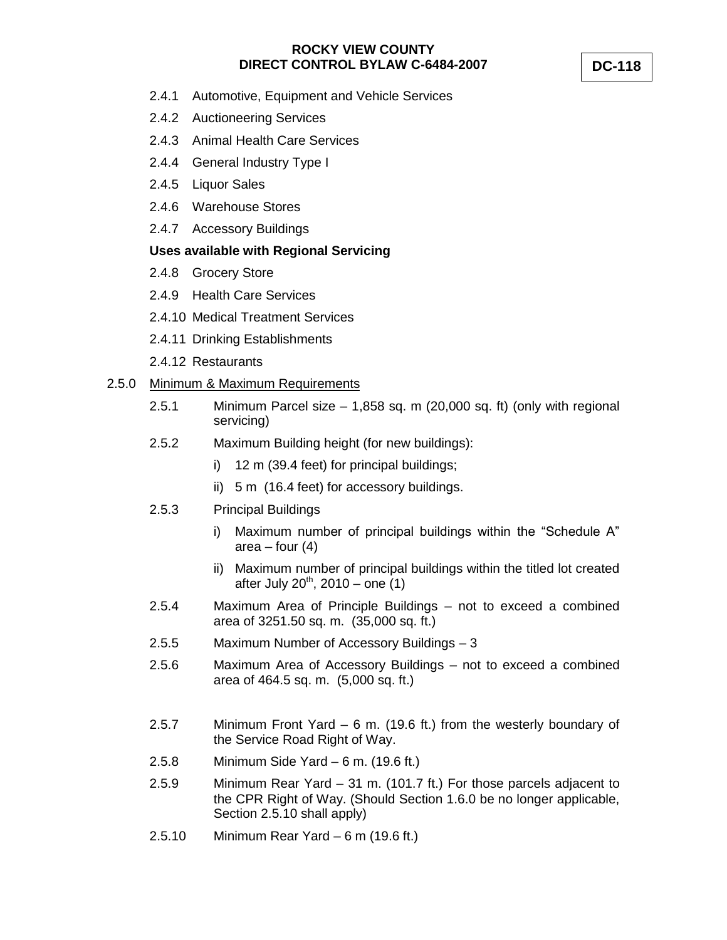- 2.4.1 Automotive, Equipment and Vehicle Services
- 2.4.2 Auctioneering Services
- 2.4.3 Animal Health Care Services
- 2.4.4 General Industry Type I
- 2.4.5 Liquor Sales
- 2.4.6 Warehouse Stores
- 2.4.7 Accessory Buildings

## **Uses available with Regional Servicing**

- 2.4.8 Grocery Store
- 2.4.9 Health Care Services
- 2.4.10 Medical Treatment Services
- 2.4.11 Drinking Establishments
- 2.4.12 Restaurants

## 2.5.0 Minimum & Maximum Requirements

- 2.5.1 Minimum Parcel size  $-1,858$  sq. m (20,000 sq. ft) (only with regional servicing)
- 2.5.2 Maximum Building height (for new buildings):
	- i) 12 m (39.4 feet) for principal buildings;
	- ii) 5 m (16.4 feet) for accessory buildings.
- 2.5.3 Principal Buildings
	- i) Maximum number of principal buildings within the "Schedule A" area – four  $(4)$
	- ii) Maximum number of principal buildings within the titled lot created after July  $20^{th}$ ,  $2010 -$  one (1)
- 2.5.4 Maximum Area of Principle Buildings not to exceed a combined area of 3251.50 sq. m. (35,000 sq. ft.)
- 2.5.5 Maximum Number of Accessory Buildings 3
- 2.5.6 Maximum Area of Accessory Buildings not to exceed a combined area of 464.5 sq. m. (5,000 sq. ft.)
- 2.5.7 Minimum Front Yard 6 m. (19.6 ft.) from the westerly boundary of the Service Road Right of Way.
- 2.5.8 Minimum Side Yard 6 m. (19.6 ft.)
- 2.5.9 Minimum Rear Yard 31 m. (101.7 ft.) For those parcels adjacent to the CPR Right of Way. (Should Section 1.6.0 be no longer applicable, Section 2.5.10 shall apply)
- 2.5.10 Minimum Rear Yard 6 m (19.6 ft.)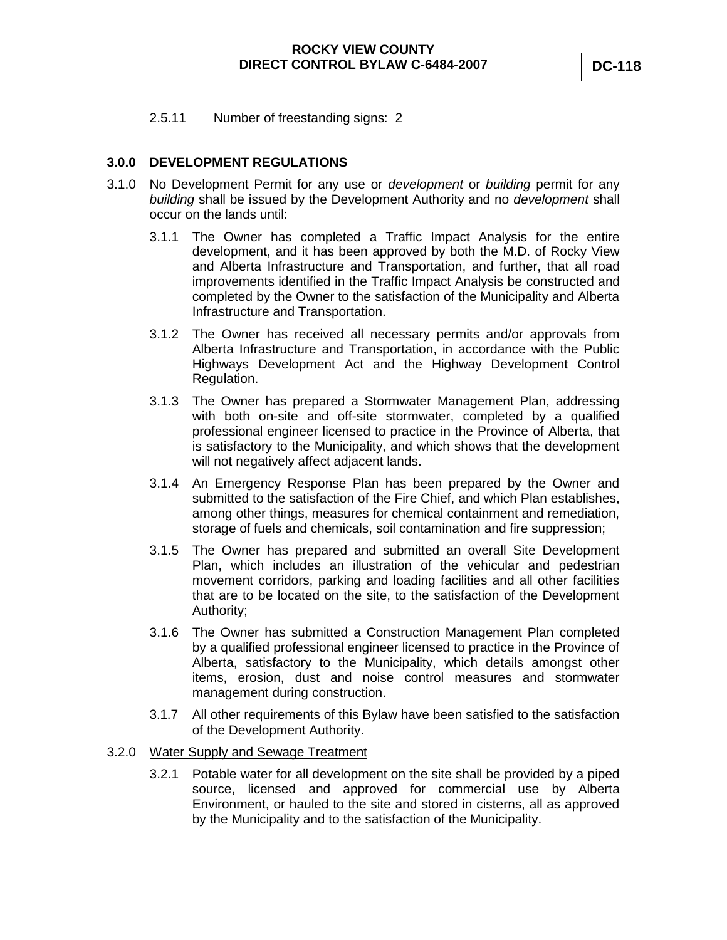2.5.11 Number of freestanding signs: 2

# **3.0.0 DEVELOPMENT REGULATIONS**

- 3.1.0 No Development Permit for any use or *development* or *building* permit for any *building* shall be issued by the Development Authority and no *development* shall occur on the lands until:
	- 3.1.1 The Owner has completed a Traffic Impact Analysis for the entire development, and it has been approved by both the M.D. of Rocky View and Alberta Infrastructure and Transportation, and further, that all road improvements identified in the Traffic Impact Analysis be constructed and completed by the Owner to the satisfaction of the Municipality and Alberta Infrastructure and Transportation.
	- 3.1.2 The Owner has received all necessary permits and/or approvals from Alberta Infrastructure and Transportation, in accordance with the Public Highways Development Act and the Highway Development Control Regulation.
	- 3.1.3 The Owner has prepared a Stormwater Management Plan, addressing with both on-site and off-site stormwater, completed by a qualified professional engineer licensed to practice in the Province of Alberta, that is satisfactory to the Municipality, and which shows that the development will not negatively affect adjacent lands.
	- 3.1.4 An Emergency Response Plan has been prepared by the Owner and submitted to the satisfaction of the Fire Chief, and which Plan establishes, among other things, measures for chemical containment and remediation, storage of fuels and chemicals, soil contamination and fire suppression;
	- 3.1.5 The Owner has prepared and submitted an overall Site Development Plan, which includes an illustration of the vehicular and pedestrian movement corridors, parking and loading facilities and all other facilities that are to be located on the site, to the satisfaction of the Development Authority;
	- 3.1.6 The Owner has submitted a Construction Management Plan completed by a qualified professional engineer licensed to practice in the Province of Alberta, satisfactory to the Municipality, which details amongst other items, erosion, dust and noise control measures and stormwater management during construction.
	- 3.1.7 All other requirements of this Bylaw have been satisfied to the satisfaction of the Development Authority.

#### 3.2.0 Water Supply and Sewage Treatment

3.2.1 Potable water for all development on the site shall be provided by a piped source, licensed and approved for commercial use by Alberta Environment, or hauled to the site and stored in cisterns, all as approved by the Municipality and to the satisfaction of the Municipality.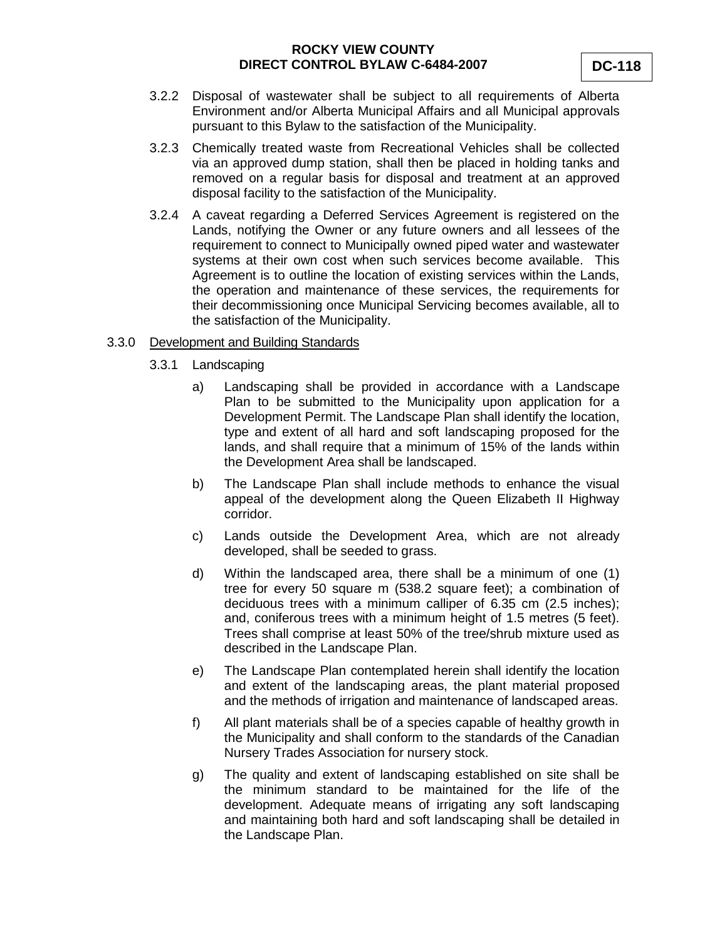- 3.2.2 Disposal of wastewater shall be subject to all requirements of Alberta Environment and/or Alberta Municipal Affairs and all Municipal approvals pursuant to this Bylaw to the satisfaction of the Municipality.
- 3.2.3 Chemically treated waste from Recreational Vehicles shall be collected via an approved dump station, shall then be placed in holding tanks and removed on a regular basis for disposal and treatment at an approved disposal facility to the satisfaction of the Municipality.
- 3.2.4 A caveat regarding a Deferred Services Agreement is registered on the Lands, notifying the Owner or any future owners and all lessees of the requirement to connect to Municipally owned piped water and wastewater systems at their own cost when such services become available. This Agreement is to outline the location of existing services within the Lands, the operation and maintenance of these services, the requirements for their decommissioning once Municipal Servicing becomes available, all to the satisfaction of the Municipality.

#### 3.3.0 Development and Building Standards

- 3.3.1 Landscaping
	- a) Landscaping shall be provided in accordance with a Landscape Plan to be submitted to the Municipality upon application for a Development Permit. The Landscape Plan shall identify the location, type and extent of all hard and soft landscaping proposed for the lands, and shall require that a minimum of 15% of the lands within the Development Area shall be landscaped.
	- b) The Landscape Plan shall include methods to enhance the visual appeal of the development along the Queen Elizabeth II Highway corridor.
	- c) Lands outside the Development Area, which are not already developed, shall be seeded to grass.
	- d) Within the landscaped area, there shall be a minimum of one (1) tree for every 50 square m (538.2 square feet); a combination of deciduous trees with a minimum calliper of 6.35 cm (2.5 inches); and, coniferous trees with a minimum height of 1.5 metres (5 feet). Trees shall comprise at least 50% of the tree/shrub mixture used as described in the Landscape Plan.
	- e) The Landscape Plan contemplated herein shall identify the location and extent of the landscaping areas, the plant material proposed and the methods of irrigation and maintenance of landscaped areas.
	- f) All plant materials shall be of a species capable of healthy growth in the Municipality and shall conform to the standards of the Canadian Nursery Trades Association for nursery stock.
	- g) The quality and extent of landscaping established on site shall be the minimum standard to be maintained for the life of the development. Adequate means of irrigating any soft landscaping and maintaining both hard and soft landscaping shall be detailed in the Landscape Plan.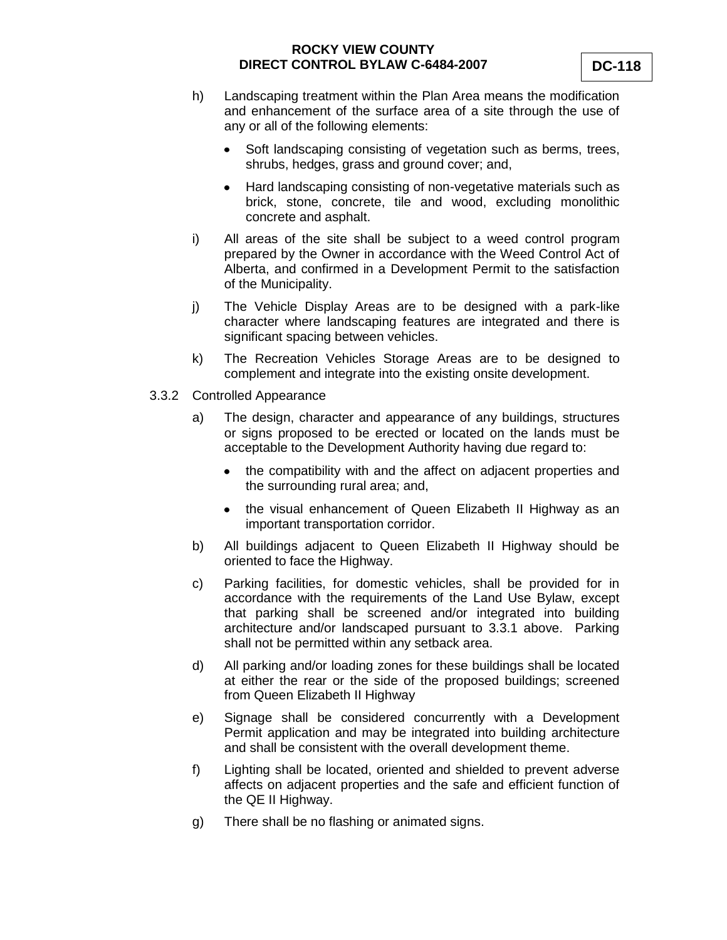- h) Landscaping treatment within the Plan Area means the modification and enhancement of the surface area of a site through the use of any or all of the following elements:
	- $\bullet$ Soft landscaping consisting of vegetation such as berms, trees, shrubs, hedges, grass and ground cover; and,
	- Hard landscaping consisting of non-vegetative materials such as  $\bullet$ brick, stone, concrete, tile and wood, excluding monolithic concrete and asphalt.
- i) All areas of the site shall be subject to a weed control program prepared by the Owner in accordance with the Weed Control Act of Alberta, and confirmed in a Development Permit to the satisfaction of the Municipality.
- j) The Vehicle Display Areas are to be designed with a park-like character where landscaping features are integrated and there is significant spacing between vehicles.
- k) The Recreation Vehicles Storage Areas are to be designed to complement and integrate into the existing onsite development.
- 3.3.2 Controlled Appearance
	- a) The design, character and appearance of any buildings, structures or signs proposed to be erected or located on the lands must be acceptable to the Development Authority having due regard to:
		- the compatibility with and the affect on adjacent properties and  $\bullet$ the surrounding rural area; and,
		- the visual enhancement of Queen Elizabeth II Highway as an important transportation corridor.
	- b) All buildings adjacent to Queen Elizabeth II Highway should be oriented to face the Highway.
	- c) Parking facilities, for domestic vehicles, shall be provided for in accordance with the requirements of the Land Use Bylaw, except that parking shall be screened and/or integrated into building architecture and/or landscaped pursuant to 3.3.1 above. Parking shall not be permitted within any setback area.
	- d) All parking and/or loading zones for these buildings shall be located at either the rear or the side of the proposed buildings; screened from Queen Elizabeth II Highway
	- e) Signage shall be considered concurrently with a Development Permit application and may be integrated into building architecture and shall be consistent with the overall development theme.
	- f) Lighting shall be located, oriented and shielded to prevent adverse affects on adjacent properties and the safe and efficient function of the QE II Highway.
	- g) There shall be no flashing or animated signs.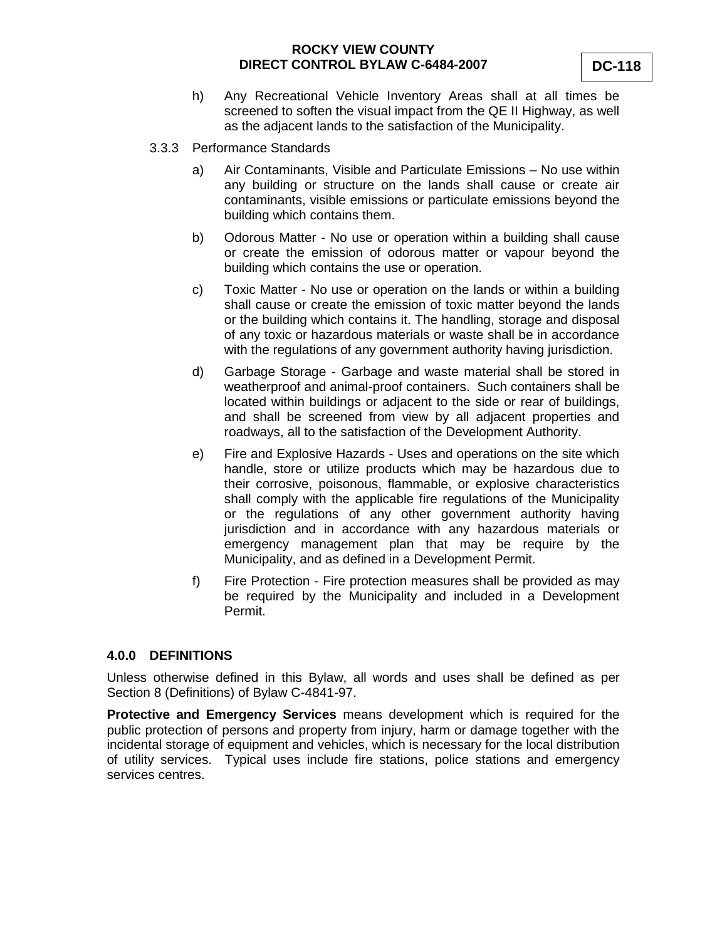- h) Any Recreational Vehicle Inventory Areas shall at all times be screened to soften the visual impact from the QE II Highway, as well as the adjacent lands to the satisfaction of the Municipality.
- 3.3.3 Performance Standards
	- a) Air Contaminants, Visible and Particulate Emissions No use within any building or structure on the lands shall cause or create air contaminants, visible emissions or particulate emissions beyond the building which contains them.
	- b) Odorous Matter No use or operation within a building shall cause or create the emission of odorous matter or vapour beyond the building which contains the use or operation.
	- c) Toxic Matter No use or operation on the lands or within a building shall cause or create the emission of toxic matter beyond the lands or the building which contains it. The handling, storage and disposal of any toxic or hazardous materials or waste shall be in accordance with the regulations of any government authority having jurisdiction.
	- d) Garbage Storage Garbage and waste material shall be stored in weatherproof and animal-proof containers. Such containers shall be located within buildings or adjacent to the side or rear of buildings, and shall be screened from view by all adjacent properties and roadways, all to the satisfaction of the Development Authority.
	- e) Fire and Explosive Hazards Uses and operations on the site which handle, store or utilize products which may be hazardous due to their corrosive, poisonous, flammable, or explosive characteristics shall comply with the applicable fire regulations of the Municipality or the regulations of any other government authority having jurisdiction and in accordance with any hazardous materials or emergency management plan that may be require by the Municipality, and as defined in a Development Permit.
	- f) Fire Protection Fire protection measures shall be provided as may be required by the Municipality and included in a Development Permit.

#### **4.0.0 DEFINITIONS**

Unless otherwise defined in this Bylaw, all words and uses shall be defined as per Section 8 (Definitions) of Bylaw C-4841-97.

**Protective and Emergency Services** means development which is required for the public protection of persons and property from injury, harm or damage together with the incidental storage of equipment and vehicles, which is necessary for the local distribution of utility services. Typical uses include fire stations, police stations and emergency services centres.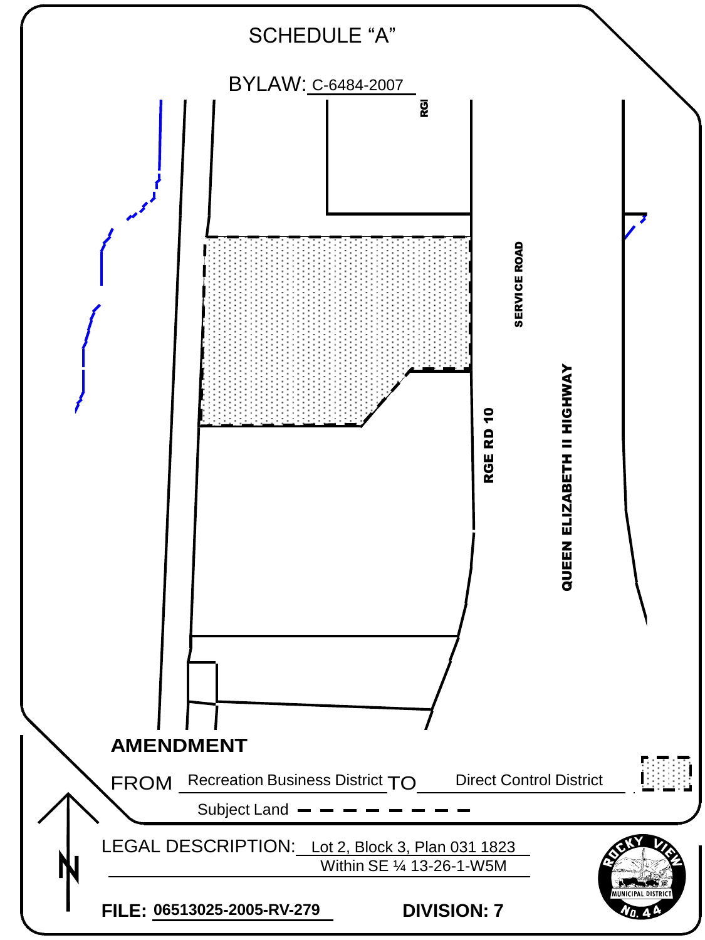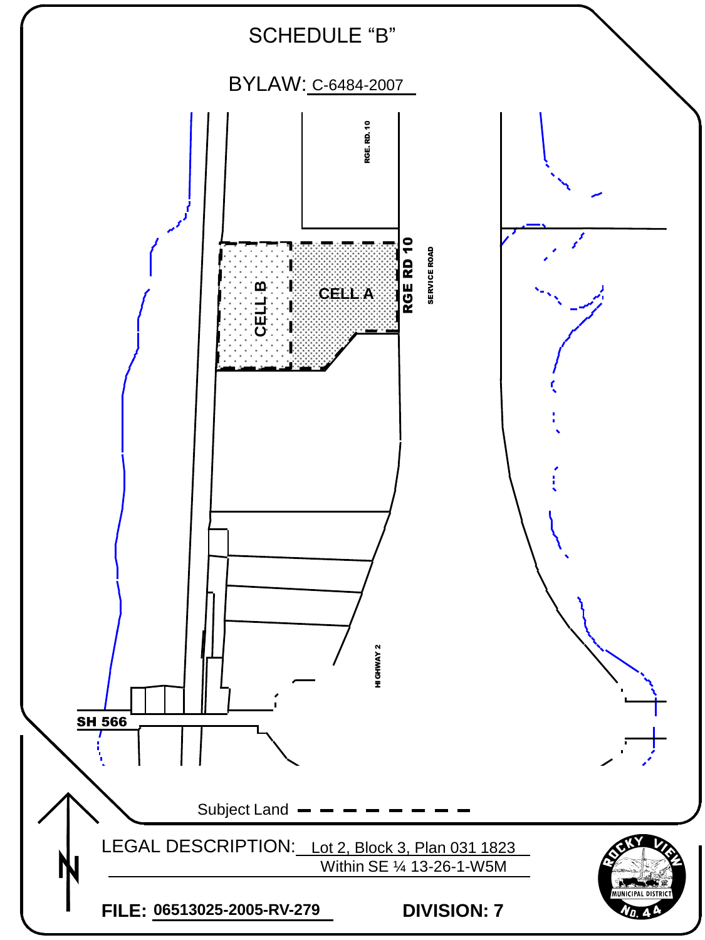